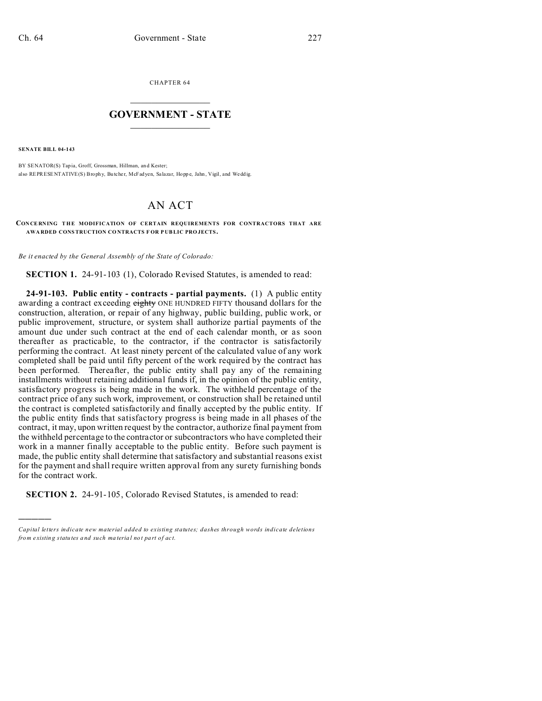CHAPTER 64  $\overline{\phantom{a}}$  , where  $\overline{\phantom{a}}$ 

## **GOVERNMENT - STATE**  $\_$   $\_$

**SENATE BILL 04-143**

)))))

BY SENATOR(S) Tapia, Groff, Grossman, Hillman, an d Kester; also REPRESENTATIVE(S) Brophy, Butcher, McFadyen, Salazar, Hoppe, Jahn, Vigil, and Wedd ig.

## AN ACT

**CON CE RNING THE MODIFICATION OF CERTAIN REQUIREMENTS FOR CONTRACTORS THAT ARE AWA RDED CONSTRUCTION CO NTRACTS F OR P UBLIC PRO JECTS.**

*Be it enacted by the General Assembly of the State of Colorado:*

**SECTION 1.** 24-91-103 (1), Colorado Revised Statutes, is amended to read:

**24-91-103. Public entity - contracts - partial payments.** (1) A public entity awarding a contract exceeding eighty ONE HUNDRED FIFTY thousand dollars for the construction, alteration, or repair of any highway, public building, public work, or public improvement, structure, or system shall authorize partial payments of the amount due under such contract at the end of each calendar month, or as soon thereafter as practicable, to the contractor, if the contractor is satisfactorily performing the contract. At least ninety percent of the calculated value of any work completed shall be paid until fifty percent of the work required by the contract has been performed. Thereafter, the public entity shall pay any of the remaining installments without retaining additional funds if, in the opinion of the public entity, satisfactory progress is being made in the work. The withheld percentage of the contract price of any such work, improvement, or construction shall be retained until the contract is completed satisfactorily and finally accepted by the public entity. If the public entity finds that satisfactory progress is being made in all phases of the contract, it may, upon written request by the contractor, authorize final payment from the withheld percentage to the contractor or subcontractors who have completed their work in a manner finally acceptable to the public entity. Before such payment is made, the public entity shall determine that satisfactory and substantial reasons exist for the payment and shall require written approval from any surety furnishing bonds for the contract work.

**SECTION 2.** 24-91-105, Colorado Revised Statutes, is amended to read:

*Capital letters indicate new material added to existing statutes; dashes through words indicate deletions from e xistin g statu tes a nd such ma teria l no t pa rt of ac t.*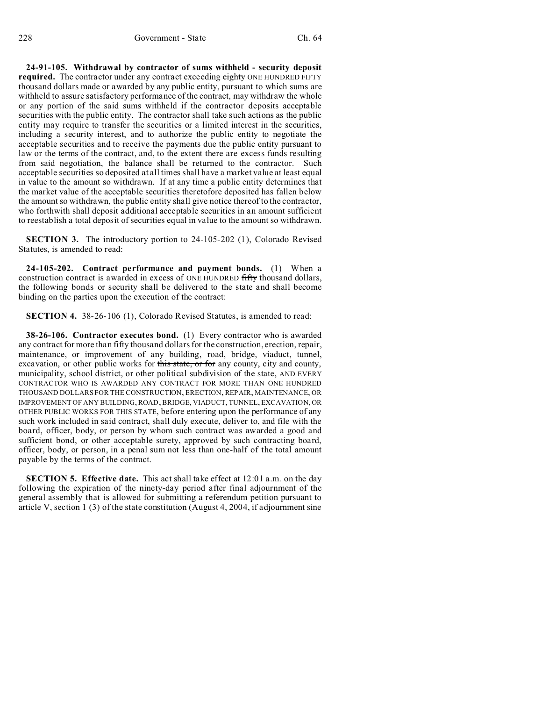**24-91-105. Withdrawal by contractor of sums withheld - security deposit required.** The contractor under any contract exceeding eighty ONE HUNDRED FIFTY thousand dollars made or awarded by any public entity, pursuant to which sums are withheld to assure satisfactory performance of the contract, may withdraw the whole or any portion of the said sums withheld if the contractor deposits acceptable securities with the public entity. The contractor shall take such actions as the public entity may require to transfer the securities or a limited interest in the securities, including a security interest, and to authorize the public entity to negotiate the acceptable securities and to receive the payments due the public entity pursuant to law or the terms of the contract, and, to the extent there are excess funds resulting from said negotiation, the balance shall be returned to the contractor. Such acceptable securities so deposited at all times shall have a market value at least equal in value to the amount so withdrawn. If at any time a public entity determines that the market value of the acceptable securities theretofore deposited has fallen below the amount so withdrawn, the public entity shall give notice thereof to the contractor, who forthwith shall deposit additional acceptable securities in an amount sufficient to reestablish a total deposit of securities equal in value to the amount so withdrawn.

**SECTION 3.** The introductory portion to 24-105-202 (1), Colorado Revised Statutes, is amended to read:

**24-105-202. Contract performance and payment bonds.** (1) When a construction contract is awarded in excess of ONE HUNDRED fifty thousand dollars, the following bonds or security shall be delivered to the state and shall become binding on the parties upon the execution of the contract:

**SECTION 4.** 38-26-106 (1), Colorado Revised Statutes, is amended to read:

**38-26-106. Contractor executes bond.** (1) Every contractor who is awarded any contract for more than fifty thousand dollars for the construction, erection, repair, maintenance, or improvement of any building, road, bridge, viaduct, tunnel, excavation, or other public works for this state, or for any county, city and county, municipality, school district, or other political subdivision of the state, AND EVERY CONTRACTOR WHO IS AWARDED ANY CONTRACT FOR MORE THAN ONE HUNDRED THOUSAND DOLLARS FOR THE CONSTRUCTION, ERECTION, REPAIR, MAINTENANCE, OR IMPROVEMENT OF ANY BUILDING, ROAD, BRIDGE, VIADUCT, TUNNEL, EXCAVATION,OR OTHER PUBLIC WORKS FOR THIS STATE, before entering upon the performance of any such work included in said contract, shall duly execute, deliver to, and file with the board, officer, body, or person by whom such contract was awarded a good and sufficient bond, or other acceptable surety, approved by such contracting board, officer, body, or person, in a penal sum not less than one-half of the total amount payable by the terms of the contract.

**SECTION 5. Effective date.** This act shall take effect at 12:01 a.m. on the day following the expiration of the ninety-day period after final adjournment of the general assembly that is allowed for submitting a referendum petition pursuant to article V, section 1 (3) of the state constitution (August 4, 2004, if adjournment sine